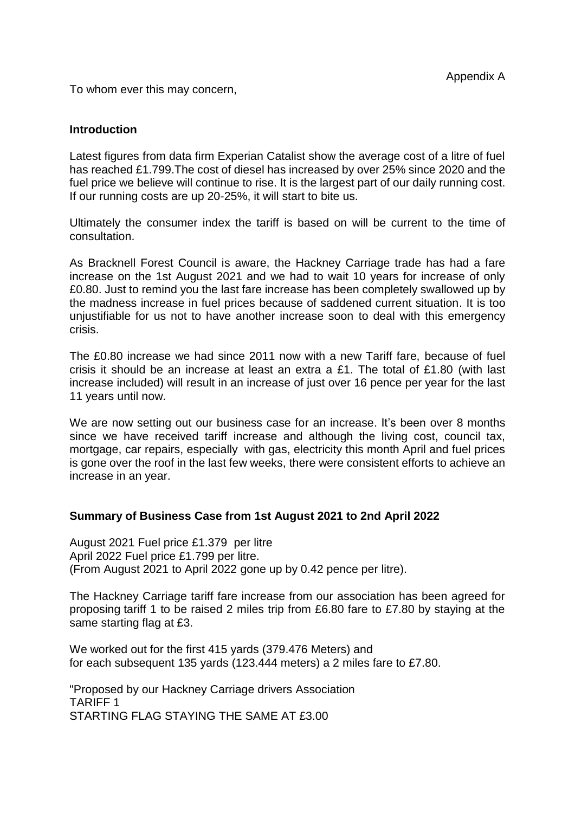To whom ever this may concern,

## **Introduction**

Latest figures from data firm Experian Catalist show the average cost of a litre of fuel has reached £1.799.The cost of diesel has increased by over 25% since 2020 and the fuel price we believe will continue to rise. It is the largest part of our daily running cost. If our running costs are up 20-25%, it will start to bite us.

Ultimately the consumer index the tariff is based on will be current to the time of consultation.

As Bracknell Forest Council is aware, the Hackney Carriage trade has had a fare increase on the 1st August 2021 and we had to wait 10 years for increase of only £0.80. Just to remind you the last fare increase has been completely swallowed up by the madness increase in fuel prices because of saddened current situation. It is too unjustifiable for us not to have another increase soon to deal with this emergency crisis.

The £0.80 increase we had since 2011 now with a new Tariff fare, because of fuel crisis it should be an increase at least an extra a £1. The total of £1.80 (with last increase included) will result in an increase of just over 16 pence per year for the last 11 years until now.

We are now setting out our business case for an increase. It's been over 8 months since we have received tariff increase and although the living cost, council tax, mortgage, car repairs, especially with gas, electricity this month April and fuel prices is gone over the roof in the last few weeks, there were consistent efforts to achieve an increase in an year.

## **Summary of Business Case from 1st August 2021 to 2nd April 2022**

August 2021 Fuel price £1.379 per litre April 2022 Fuel price £1.799 per litre. (From August 2021 to April 2022 gone up by 0.42 pence per litre).

The Hackney Carriage tariff fare increase from our association has been agreed for proposing tariff 1 to be raised 2 miles trip from £6.80 fare to £7.80 by staying at the same starting flag at £3.

We worked out for the first 415 yards (379.476 Meters) and for each subsequent 135 yards (123.444 meters) a 2 miles fare to £7.80.

"Proposed by our Hackney Carriage drivers Association TARIFF 1 STARTING FLAG STAYING THE SAME AT £3.00